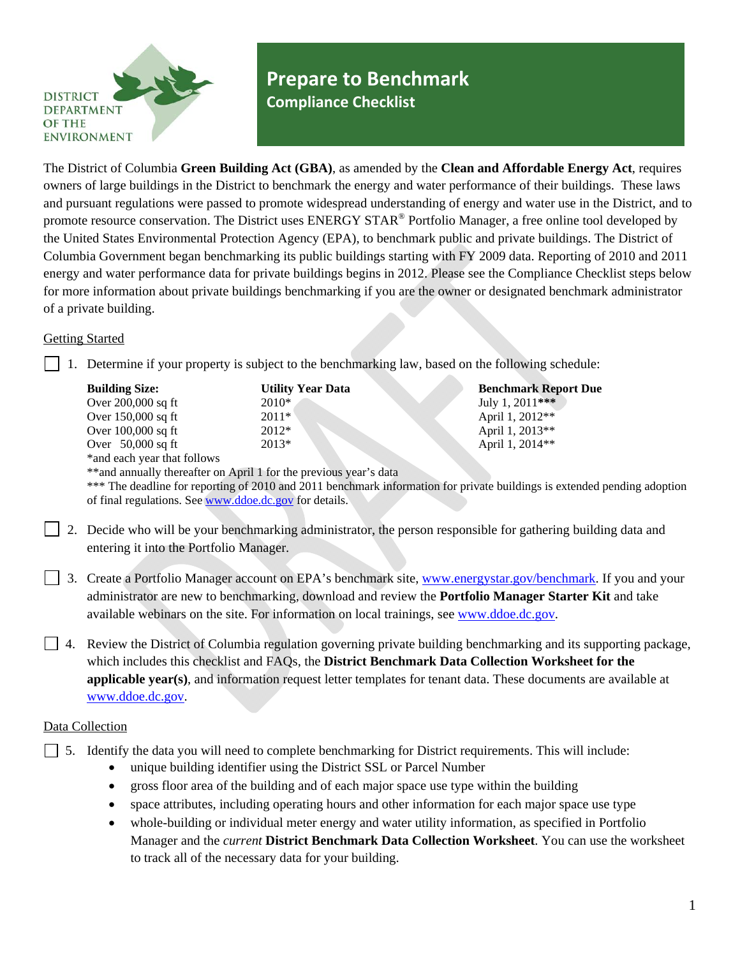

# **Prepare to Benchmark Compliance Checklist**

The District of Columbia **Green Building Act (GBA)**, as amended by the **Clean and Affordable Energy Act**, requires owners of large buildings in the District to benchmark the energy and water performance of their buildings. These laws and pursuant regulations were passed to promote widespread understanding of energy and water use in the District, and to promote resource conservation. The District uses ENERGY STAR<sup>®</sup> Portfolio Manager, a free online tool developed by the United States Environmental Protection Agency (EPA), to benchmark public and private buildings. The District of Columbia Government began benchmarking its public buildings starting with FY 2009 data. Reporting of 2010 and 2011 energy and water performance data for private buildings begins in 2012. Please see the Compliance Checklist steps below for more information about private buildings benchmarking if you are the owner or designated benchmark administrator of a private building.

### Getting Started

1. Determine if your property is subject to the benchmarking law, based on the following schedule:

| <b>Building Size:</b>       | <b>Utility Year Data</b> | <b>Benchmark Report Due</b> |
|-----------------------------|--------------------------|-----------------------------|
| Over 200,000 sq ft          | $2010*$                  | July 1, 2011***             |
| Over 150,000 sq ft          | $2011*$                  | April 1, 2012**             |
| Over $100,000$ sq ft        | $2012*$                  | April 1, 2013**             |
| Over $50,000$ sq ft         | $2013*$                  | April 1, 2014**             |
| *and each year that follows |                          |                             |

\*\*and annually thereafter on April 1 for the previous year's data

\*\*\* The deadline for reporting of 2010 and 2011 benchmark information for private buildings is extended pending adoption of final regulations. See [www.ddoe.dc.gov](http://www.ddoe.dc.gov/) for details.

- 2. Decide who will be your benchmarking administrator, the person responsible for gathering building data and entering it into the Portfolio Manager.
- 3. Create a Portfolio Manager account on EPA's benchmark site, [www.energystar.gov/benchmark.](http://www.energystar.gov/benchmark) If you and your administrator are new to benchmarking, download and review the **Portfolio Manager Starter Kit** and take available webinars on the site. For information on local trainings, see [www.ddoe.dc.gov](http://www.ddoe.dc.gov/).
- $\Box$  4. Review the District of Columbia regulation governing private building benchmarking and its supporting package, which includes this checklist and FAQs, the **District Benchmark Data Collection Worksheet for the applicable year(s)**, and information request letter templates for tenant data. These documents are available at [www.ddoe.dc.gov](http://www.ddoe.dc.gov/).

## Data Collection

 $\Box$  5. Identify the data you will need to complete benchmarking for District requirements. This will include:

- unique building identifier using the District SSL or Parcel Number
- gross floor area of the building and of each major space use type within the building
- space attributes, including operating hours and other information for each major space use type
- whole-building or individual meter energy and water utility information, as specified in Portfolio Manager and the *current* **District Benchmark Data Collection Worksheet**. You can use the worksheet to track all of the necessary data for your building.